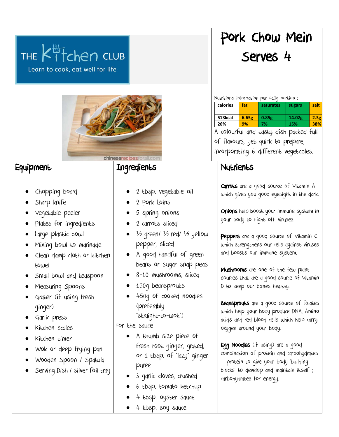| THE Kitchen CLUB<br>Learn to cook, eat well for life                                                                                                                                                                                                                                                                                                                                                            |                                                                                                                                                                                                                                                                                                                                                                                                                                                                                                                                                                       | Pork Chow Mein<br>Serves <sub>4</sub>                                                                                                                                                                                                                                                                                                                                                                                                                                                                                                                                                                                                                                                                                                                                                             |
|-----------------------------------------------------------------------------------------------------------------------------------------------------------------------------------------------------------------------------------------------------------------------------------------------------------------------------------------------------------------------------------------------------------------|-----------------------------------------------------------------------------------------------------------------------------------------------------------------------------------------------------------------------------------------------------------------------------------------------------------------------------------------------------------------------------------------------------------------------------------------------------------------------------------------------------------------------------------------------------------------------|---------------------------------------------------------------------------------------------------------------------------------------------------------------------------------------------------------------------------------------------------------------------------------------------------------------------------------------------------------------------------------------------------------------------------------------------------------------------------------------------------------------------------------------------------------------------------------------------------------------------------------------------------------------------------------------------------------------------------------------------------------------------------------------------------|
| chineserecipesforall.com                                                                                                                                                                                                                                                                                                                                                                                        |                                                                                                                                                                                                                                                                                                                                                                                                                                                                                                                                                                       | Nutritional information per 413g portion:<br>fat<br>calories<br>saturates<br>salt<br>sugars<br>513kcal<br>6.65g<br>0.85g<br>14.02g<br>2.3g<br>9%<br>38%<br>26%<br>7%<br>15%<br>A colourful and Easty dish packed full<br>of flavours, yet quick to prepare,<br>incorporating 6 different vegetables.                                                                                                                                                                                                                                                                                                                                                                                                                                                                                              |
| Equipment<br>Chopping board<br>Sharp knife<br>vegetable peeler<br>Plates for ingredients<br>Large plastic bowl<br>Mixing bowl to marinade<br>Clean damp cloth or kitchen<br>towel<br>Small bowl and teaspoon<br>Measuring Spoons<br>Grater (if using fresh<br>ginger)<br>Garlic press<br>Kitchen scales<br>Kitchen timer<br>Wok or deep frying pan<br>Wooden Spoon / Spatula<br>Serving Dish / silver foil tray | Ingredients<br>2 Ebsp. vegetable oil<br>2 Pork Loins<br>5 spring onions<br>2 carroles sliced<br>$\frac{1}{2}$ green/ $\frac{1}{2}$ red/ $\frac{1}{2}$ yellow<br>pepper, sliced<br>A good handful of green<br>beans or sugar snap peas<br>8-10 mushrooms, sliced<br>150g beansprouts<br>450g of cooked noodles<br>(preferably<br>"straight-to-wok")<br>For the squce<br>A thumb size piece of<br>fresh root ginger, grated,<br>or 1 tbsp. of "lazy" ginger<br>puree<br>3 garlic cloves, crushed<br>6 Ebsp. EomgEo keEchup<br>4 Ebsp. oyster squce<br>4 Ebsp. soy squce | Nutrients<br>Carroles are a good source of Villamin A<br>which gives you good eyesight in the dark.<br>Onions help boost your immune system in<br>your body to fight off viruses.<br>Peppers are a good source of Vitamin C<br>which strengthens our cells against viruses<br>and boosts our immune system.<br>Mushrooms are one of the few plant<br>sources that are a good source of Vitamin<br>D to keep our bones healthy.<br>Beansprouts are a good source of folates<br>which help your body produce DNA, Amino<br>acids and red blood cells which help carry<br>oxygen around your body.<br>Egg Noodles (if using) are a good<br>combination of protein and carbohydrates<br>— protein to give your body 'building<br>blocks' to develop and maintain itself;<br>carbohydrates for energy. |